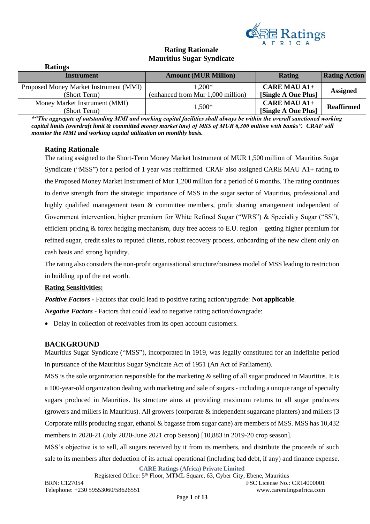

# **Rating Rationale Mauritius Sugar Syndicate**

| <b>Ratings</b>                         |                                   |                     |                      |
|----------------------------------------|-----------------------------------|---------------------|----------------------|
| Instrument                             | <b>Amount (MUR Million)</b>       | <b>Rating</b>       | <b>Rating Action</b> |
| Proposed Money Market Instrument (MMI) | $1,200*$                          | <b>CARE MAU A1+</b> | <b>Assigned</b>      |
| (Short Term)                           | (enhanced from Mur 1,000 million) | [Single A One Plus] |                      |
| Money Market Instrument (MMI)          | 1,500*                            | <b>CARE MAU A1+</b> | <b>Reaffirmed</b>    |
| (Short Term)                           |                                   | [Single A One Plus] |                      |

*\*"The aggregate of outstanding MMI and working capital facilities shall always be within the overall sanctioned working capital limits (overdraft limit & committed money market line) of MSS of MUR 6,300 million with banks". CRAF will monitor the MMI and working capital utilization on monthly basis.* 

# **Rating Rationale**

The rating assigned to the Short-Term Money Market Instrument of MUR 1,500 million of Mauritius Sugar Syndicate ("MSS") for a period of 1 year was reaffirmed. CRAF also assigned CARE MAU A1+ rating to the Proposed Money Market Instrument of Mur 1,200 million for a period of 6 months. The rating continues to derive strength from the strategic importance of MSS in the sugar sector of Mauritius, professional and highly qualified management team & committee members, profit sharing arrangement independent of Government intervention, higher premium for White Refined Sugar ("WRS") & Speciality Sugar ("SS"), efficient pricing  $\&$  forex hedging mechanism, duty free access to E.U. region – getting higher premium for refined sugar, credit sales to reputed clients, robust recovery process, onboarding of the new client only on cash basis and strong liquidity.

The rating also considers the non-profit organisational structure/business model of MSS leading to restriction in building up of the net worth.

## **Rating Sensitivities:**

*Positive Factors -* Factors that could lead to positive rating action/upgrade: **Not applicable***.*

*Negative Factors -* Factors that could lead to negative rating action/downgrade:

• Delay in collection of receivables from its open account customers.

## **BACKGROUND**

Mauritius Sugar Syndicate ("MSS"), incorporated in 1919, was legally constituted for an indefinite period in pursuance of the Mauritius Sugar Syndicate Act of 1951 (An Act of Parliament).

MSS is the sole organization responsible for the marketing & selling of all sugar produced in Mauritius. It is a 100-year-old organization dealing with marketing and sale of sugars - including a unique range of specialty sugars produced in Mauritius. Its structure aims at providing maximum returns to all sugar producers (growers and millers in Mauritius). All growers (corporate & independent sugarcane planters) and millers (3 Corporate mills producing sugar, ethanol & bagasse from sugar cane) are members of MSS. MSS has 10,432 members in 2020-21 (July 2020-June 2021 crop Season) [10,883 in 2019-20 crop season].

MSS's objective is to sell, all sugars received by it from its members, and distribute the proceeds of such sale to its members after deduction of its actual operational (including bad debt, if any) and finance expense.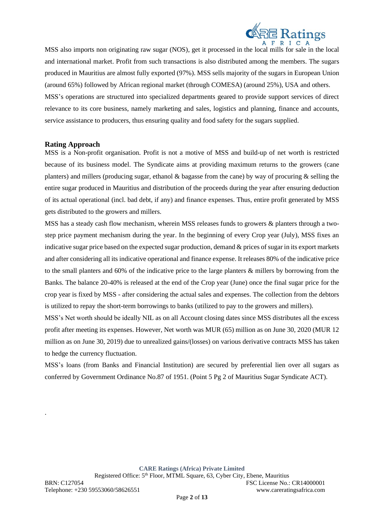

MSS also imports non originating raw sugar (NOS), get it processed in the local mills for sale in the local and international market. Profit from such transactions is also distributed among the members. The sugars produced in Mauritius are almost fully exported (97%). MSS sells majority of the sugars in European Union (around 65%) followed by African regional market (through COMESA) (around 25%), USA and others. MSS's operations are structured into specialized departments geared to provide support services of direct relevance to its core business, namely marketing and sales, logistics and planning, finance and accounts, service assistance to producers, thus ensuring quality and food safety for the sugars supplied.

#### **Rating Approach**

MSS is a Non-profit organisation. Profit is not a motive of MSS and build-up of net worth is restricted because of its business model. The Syndicate aims at providing maximum returns to the growers (cane planters) and millers (producing sugar, ethanol  $\&$  bagasse from the cane) by way of procuring  $\&$  selling the entire sugar produced in Mauritius and distribution of the proceeds during the year after ensuring deduction of its actual operational (incl. bad debt, if any) and finance expenses. Thus, entire profit generated by MSS gets distributed to the growers and millers.

MSS has a steady cash flow mechanism, wherein MSS releases funds to growers & planters through a twostep price payment mechanism during the year. In the beginning of every Crop year (July), MSS fixes an indicative sugar price based on the expected sugar production, demand & prices of sugar in its export markets and after considering all its indicative operational and finance expense. It releases 80% of the indicative price to the small planters and 60% of the indicative price to the large planters & millers by borrowing from the Banks. The balance 20-40% is released at the end of the Crop year (June) once the final sugar price for the crop year is fixed by MSS - after considering the actual sales and expenses. The collection from the debtors is utilized to repay the short-term borrowings to banks (utilized to pay to the growers and millers).

MSS's Net worth should be ideally NIL as on all Account closing dates since MSS distributes all the excess profit after meeting its expenses. However, Net worth was MUR (65) million as on June 30, 2020 (MUR 12 million as on June 30, 2019) due to unrealized gains/(losses) on various derivative contracts MSS has taken to hedge the currency fluctuation.

MSS's loans (from Banks and Financial Institution) are secured by preferential lien over all sugars as conferred by Government Ordinance No.87 of 1951. (Point 5 Pg 2 of Mauritius Sugar Syndicate ACT).

**CARE Ratings (Africa) Private Limited**

.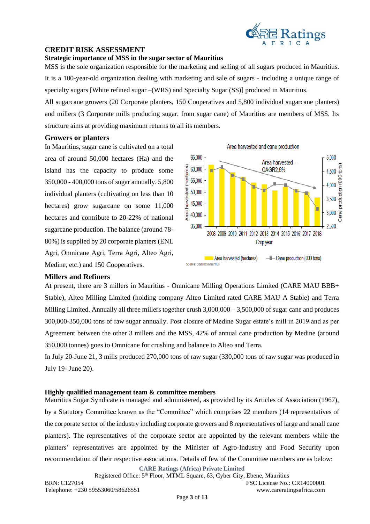

## **CREDIT RISK ASSESSMENT**

#### **Strategic importance of MSS in the sugar sector of Mauritius**

MSS is the sole organization responsible for the marketing and selling of all sugars produced in Mauritius. It is a 100-year-old organization dealing with marketing and sale of sugars - including a unique range of specialty sugars [White refined sugar –(WRS) and Specialty Sugar (SS)] produced in Mauritius.

All sugarcane growers (20 Corporate planters, 150 Cooperatives and 5,800 individual sugarcane planters) and millers (3 Corporate mills producing sugar, from sugar cane) of Mauritius are members of MSS. Its structure aims at providing maximum returns to all its members.

### **Growers or planters**

In Mauritius, sugar cane is cultivated on a total area of around 50,000 hectares (Ha) and the island has the capacity to produce some 350,000 - 400,000 tons of sugar annually. 5,800 individual planters (cultivating on less than 10 hectares) grow sugarcane on some 11,000 hectares and contribute to 20-22% of national sugarcane production. The balance (around 78- 80%) is supplied by 20 corporate planters (ENL Agri, Omnicane Agri, Terra Agri, Alteo Agri, Medine, etc.) and 150 Cooperatives.



## **Millers and Refiners**

At present, there are 3 millers in Mauritius - Omnicane Milling Operations Limited (CARE MAU BBB+ Stable), Alteo Milling Limited (holding company Alteo Limited rated CARE MAU A Stable) and Terra Milling Limited. Annually all three millers together crush  $3,000,000 - 3,500,000$  of sugar cane and produces 300,000-350,000 tons of raw sugar annually. Post closure of Medine Sugar estate's mill in 2019 and as per Agreement between the other 3 millers and the MSS, 42% of annual cane production by Medine (around 350,000 tonnes) goes to Omnicane for crushing and balance to Alteo and Terra.

In July 20-June 21, 3 mills produced 270,000 tons of raw sugar (330,000 tons of raw sugar was produced in July 19- June 20).

#### **Highly qualified management team & committee members**

Mauritius Sugar Syndicate is managed and administered, as provided by its Articles of Association (1967), by a Statutory Committee known as the "Committee" which comprises 22 members (14 representatives of the corporate sector of the industry including corporate growers and 8 representatives of large and small cane planters). The representatives of the corporate sector are appointed by the relevant members while the planters' representatives are appointed by the Minister of Agro-Industry and Food Security upon recommendation of their respective associations. Details of few of the Committee members are as below:

**CARE Ratings (Africa) Private Limited**

Registered Office: 5<sup>th</sup> Floor, MTML Square, 63, Cyber City, Ebene, Mauritius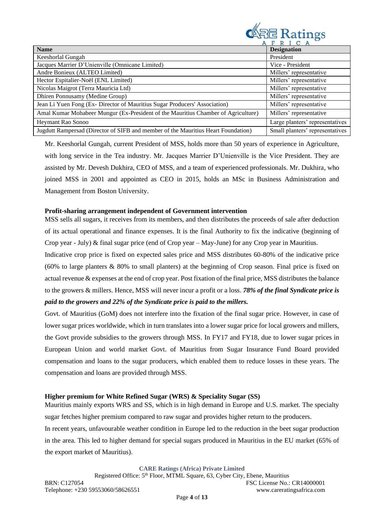

|                                                                                   | FRICA                           |
|-----------------------------------------------------------------------------------|---------------------------------|
| <b>Name</b>                                                                       | <b>Designation</b>              |
| Keeshorlal Gungah                                                                 | President                       |
| Jacques Marrier D'Unienville (Omnicane Limited)                                   | Vice - President                |
| Andre Bonieux (ALTEO Limited)                                                     | Millers' representative         |
| Hector Espitalier-Noël (ENL Limited)                                              | Millers' representative         |
| Nicolas Maigrot (Terra Mauricia Ltd)                                              | Millers' representative         |
| Dhiren Ponnusamy (Medine Group)                                                   | Millers' representative         |
| Jean Li Yuen Fong (Ex- Director of Mauritius Sugar Producers' Association)        | Millers' representative         |
| Amal Kumar Mohabeer Mungur (Ex-President of the Mauritius Chamber of Agriculture) | Millers' representative         |
| Heymant Rao Sonoo                                                                 | Large planters' representatives |
| Jugdutt Rampersad (Director of SIFB and member of the Mauritius Heart Foundation) | Small planters' representatives |

Mr. Keeshorlal Gungah, current President of MSS, holds more than 50 years of experience in Agriculture, with long service in the Tea industry. Mr. Jacques Marrier D'Unienville is the Vice President. They are assisted by Mr. Devesh Dukhira, CEO of MSS, and a team of experienced professionals. Mr. Dukhira, who joined MSS in 2001 and appointed as CEO in 2015, holds an MSc in Business Administration and Management from Boston University.

#### **Profit-sharing arrangement independent of Government intervention**

MSS sells all sugars, it receives from its members, and then distributes the proceeds of sale after deduction of its actual operational and finance expenses. It is the final Authority to fix the indicative (beginning of Crop year - July) & final sugar price (end of Crop year – May-June) for any Crop year in Mauritius.

Indicative crop price is fixed on expected sales price and MSS distributes 60-80% of the indicative price (60% to large planters & 80% to small planters) at the beginning of Crop season. Final price is fixed on actual revenue & expenses at the end of crop year. Post fixation of the final price, MSS distributes the balance to the growers & millers. Hence, MSS will never incur a profit or a loss. *78% of the final Syndicate price is paid to the growers and 22% of the Syndicate price is paid to the millers.*

Govt. of Mauritius (GoM) does not interfere into the fixation of the final sugar price. However, in case of lower sugar prices worldwide, which in turn translates into a lower sugar price for local growers and millers, the Govt provide subsidies to the growers through MSS. In FY17 and FY18, due to lower sugar prices in European Union and world market Govt. of Mauritius from Sugar Insurance Fund Board provided compensation and loans to the sugar producers, which enabled them to reduce losses in these years. The compensation and loans are provided through MSS.

#### **Higher premium for White Refined Sugar (WRS) & Speciality Sugar (SS)**

Mauritius mainly exports WRS and SS, which is in high demand in Europe and U.S. market. The specialty sugar fetches higher premium compared to raw sugar and provides higher return to the producers. In recent years, unfavourable weather condition in Europe led to the reduction in the beet sugar production in the area. This led to higher demand for special sugars produced in Mauritius in the EU market (65% of the export market of Mauritius).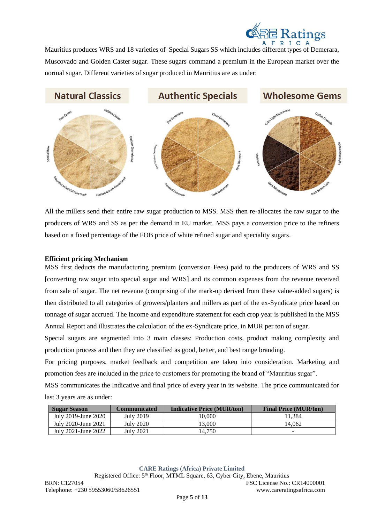

Mauritius produces WRS and 18 varieties of Special Sugars SS which includes different types of Demerara, Muscovado and Golden Caster sugar. These sugars command a premium in the European market over the normal sugar. Different varieties of sugar produced in Mauritius are as under:



All the millers send their entire raw sugar production to MSS. MSS then re-allocates the raw sugar to the producers of WRS and SS as per the demand in EU market. MSS pays a conversion price to the refiners based on a fixed percentage of the FOB price of white refined sugar and speciality sugars.

#### **Efficient pricing Mechanism**

MSS first deducts the manufacturing premium (conversion Fees) paid to the producers of WRS and SS [converting raw sugar into special sugar and WRS] and its common expenses from the revenue received from sale of sugar. The net revenue (comprising of the mark-up derived from these value-added sugars) is then distributed to all categories of growers/planters and millers as part of the ex-Syndicate price based on tonnage of sugar accrued. The income and expenditure statement for each crop year is published in the MSS Annual Report and illustrates the calculation of the ex-Syndicate price, in MUR per ton of sugar.

Special sugars are segmented into 3 main classes: Production costs, product making complexity and production process and then they are classified as good, better, and best range branding.

For pricing purposes, market feedback and competition are taken into consideration. Marketing and promotion fees are included in the price to customers for promoting the brand of "Mauritius sugar".

MSS communicates the Indicative and final price of every year in its website. The price communicated for last 3 years are as under:

| <b>Sugar Season</b> | <b>Communicated</b> | <b>Indicative Price (MUR/ton)</b> | <b>Final Price (MUR/ton)</b> |
|---------------------|---------------------|-----------------------------------|------------------------------|
| July 2019-June 2020 | <b>July 2019</b>    | 10.000                            | 11.384                       |
| July 2020-June 2021 | July 2020           | 13.000                            | 14.062                       |
| July 2021-June 2022 | July 2021           | 14.750                            |                              |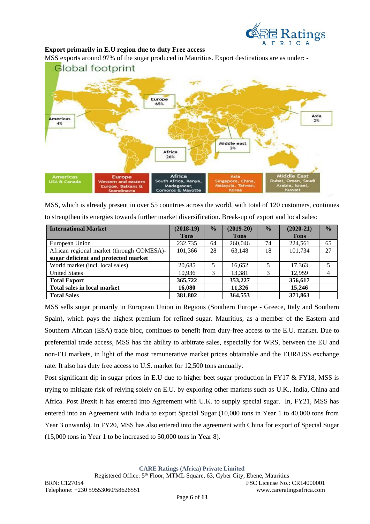

## **Export primarily in E.U region due to duty Free access**

MSS exports around 97% of the sugar produced in Mauritius. Export destinations are as under: -



MSS, which is already present in over 55 countries across the world, with total of 120 customers, continues to strengthen its energies towards further market diversification. Break-up of export and local sales:

| <b>International Market</b>               | $(2018-19)$ | $\frac{0}{0}$ | $(2019-20)$ | $\frac{0}{0}$ | $(2020-21)$ | $\frac{0}{0}$ |
|-------------------------------------------|-------------|---------------|-------------|---------------|-------------|---------------|
|                                           | <b>Tons</b> |               | <b>Tons</b> |               | <b>Tons</b> |               |
| European Union                            | 232,735     | 64            | 260,046     | 74            | 224,561     | 65            |
| African regional market (through COMESA)- | 101,366     | 28            | 63.148      | 18            | 101.734     | 27            |
| sugar deficient and protected market      |             |               |             |               |             |               |
| World market (incl. local sales)          | 20,685      | 5             | 16,652      | 5             | 17,363      |               |
| <b>United States</b>                      | 10.936      | 3             | 13,381      |               | 12.959      |               |
| <b>Total Export</b>                       | 365,722     |               | 353,227     |               | 356,617     |               |
| Total sales in local market               | 16.080      |               | 11.326      |               | 15,246      |               |
| <b>Total Sales</b>                        | 381,802     |               | 364,553     |               | 371,863     |               |

MSS sells sugar primarily in European Union in Regions (Southern Europe - Greece, Italy and Southern Spain), which pays the highest premium for refined sugar. Mauritius, as a member of the Eastern and Southern African (ESA) trade bloc, continues to benefit from duty-free access to the E.U. market. Due to preferential trade access, MSS has the ability to arbitrate sales, especially for WRS, between the EU and non-EU markets, in light of the most remunerative market prices obtainable and the EUR/US\$ exchange rate. It also has duty free access to U.S. market for 12,500 tons annually.

Post significant dip in sugar prices in E.U due to higher beet sugar production in FY17 & FY18, MSS is trying to mitigate risk of relying solely on E.U. by exploring other markets such as U.K., India, China and Africa. Post Brexit it has entered into Agreement with U.K. to supply special sugar. In, FY21, MSS has entered into an Agreement with India to export Special Sugar (10,000 tons in Year 1 to 40,000 tons from Year 3 onwards). In FY20, MSS has also entered into the agreement with China for export of Special Sugar (15,000 tons in Year 1 to be increased to 50,000 tons in Year 8).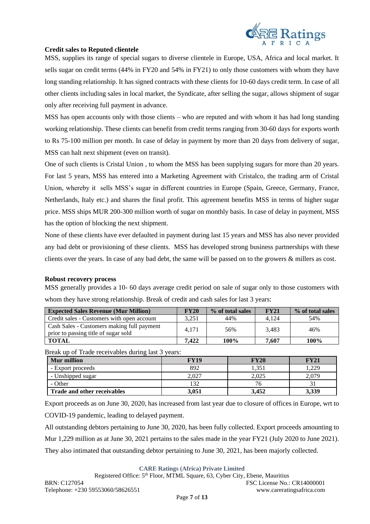

## **Credit sales to Reputed clientele**

MSS, supplies its range of special sugars to diverse clientele in Europe, USA, Africa and local market. It sells sugar on credit terms (44% in FY20 and 54% in FY21) to only those customers with whom they have long standing relationship. It has signed contracts with these clients for 10-60 days credit term. In case of all other clients including sales in local market, the Syndicate, after selling the sugar, allows shipment of sugar only after receiving full payment in advance.

MSS has open accounts only with those clients – who are reputed and with whom it has had long standing working relationship. These clients can benefit from credit terms ranging from 30-60 days for exports worth to Rs 75-100 million per month. In case of delay in payment by more than 20 days from delivery of sugar, MSS can halt next shipment (even on transit).

One of such clients is Cristal Union , to whom the MSS has been supplying sugars for more than 20 years. For last 5 years, MSS has entered into a Marketing Agreement with Cristalco, the trading arm of Cristal Union, whereby it sells MSS's sugar in different countries in Europe (Spain, Greece, Germany, France, Netherlands, Italy etc.) and shares the final profit. This agreement benefits MSS in terms of higher sugar price. MSS ships MUR 200-300 million worth of sugar on monthly basis. In case of delay in payment, MSS has the option of blocking the next shipment.

None of these clients have ever defaulted in payment during last 15 years and MSS has also never provided any bad debt or provisioning of these clients. MSS has developed strong business partnerships with these clients over the years. In case of any bad debt, the same will be passed on to the growers & millers as cost.

#### **Robust recovery process**

MSS generally provides a 10- 60 days average credit period on sale of sugar only to those customers with whom they have strong relationship. Break of credit and cash sales for last 3 years:

| <b>Expected Sales Revenue (Mur Million)</b>                                        | <b>FY20</b> | % of total sales | <b>FY21</b> | % of total sales |
|------------------------------------------------------------------------------------|-------------|------------------|-------------|------------------|
| Credit sales - Customers with open account                                         | 3.251       | 44%              | 4.124       | 54%              |
| Cash Sales - Customers making full payment<br>prior to passing title of sugar sold | 4.171       | 56%              | 3.483       | 46%              |
| <b>TOTAL</b>                                                                       | 7.422       | 100%             | 7.607       | 100%             |

Break up of Trade receivables during last 3 years:

| <b>Mur</b> million          | <b>FY19</b> | FY20  | <b>FY21</b> |
|-----------------------------|-------------|-------|-------------|
| - Export proceeds           | 892         | 1,351 | ,229        |
| - Unshipped sugar           | 2.027       | 2.025 | 2.079       |
| - Other                     | 132         |       |             |
| Trade and other receivables | 3.051       | 3.452 | 3,339       |

Export proceeds as on June 30, 2020, has increased from last year due to closure of offices in Europe, wrt to COVID-19 pandemic, leading to delayed payment.

All outstanding debtors pertaining to June 30, 2020, has been fully collected. Export proceeds amounting to Mur 1,229 million as at June 30, 2021 pertains to the sales made in the year FY21 (July 2020 to June 2021). They also intimated that outstanding debtor pertaining to June 30, 2021, has been majorly collected.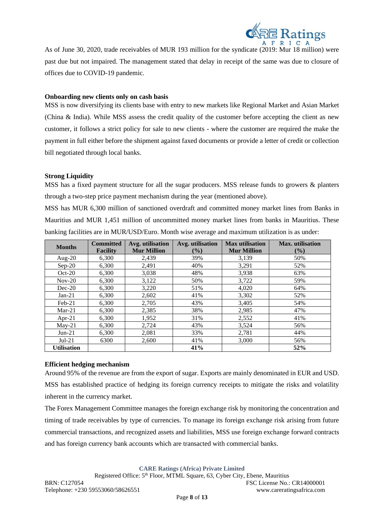

As of June 30, 2020, trade receivables of MUR 193 million for the syndicate (2019: Mur 18 million) were past due but not impaired. The management stated that delay in receipt of the same was due to closure of offices due to COVID-19 pandemic.

#### **Onboarding new clients only on cash basis**

MSS is now diversifying its clients base with entry to new markets like Regional Market and Asian Market (China & India). While MSS assess the credit quality of the customer before accepting the client as new customer, it follows a strict policy for sale to new clients - where the customer are required the make the payment in full either before the shipment against faxed documents or provide a letter of credit or collection bill negotiated through local banks.

### **Strong Liquidity**

MSS has a fixed payment structure for all the sugar producers. MSS release funds to growers & planters through a two-step price payment mechanism during the year (mentioned above).

MSS has MUR 6,300 million of sanctioned overdraft and committed money market lines from Banks in Mauritius and MUR 1,451 million of uncommitted money market lines from banks in Mauritius. These banking facilities are in MUR/USD/Euro. Month wise average and maximum utilization is as under:

| <b>Months</b>      | <b>Committed</b><br><b>Facility</b> | Avg. utilisation<br><b>Mur Million</b> | Avg. utilisation<br>$\frac{9}{6}$ | <b>Max utilisation</b><br><b>Mur Million</b> | Max. utilisation<br>$($ %) |
|--------------------|-------------------------------------|----------------------------------------|-----------------------------------|----------------------------------------------|----------------------------|
| Aug- $20$          | 6.300                               | 2.439                                  | 39%                               | 3,139                                        | 50%                        |
| $Sep-20$           | 6,300                               | 2,491                                  | 40%                               | 3,291                                        | 52%                        |
| $Oct-20$           | 6,300                               | 3,038                                  | 48%                               | 3,938                                        | 63%                        |
| $Nov-20$           | 6,300                               | 3,122                                  | 50%                               | 3,722                                        | 59%                        |
| $Dec-20$           | 6.300                               | 3,220                                  | 51%                               | 4,020                                        | 64%                        |
| $Jan-21$           | 6,300                               | 2,602                                  | 41%                               | 3,302                                        | 52%                        |
| $Feb-21$           | 6.300                               | 2,705                                  | 43%                               | 3.405                                        | 54%                        |
| $Mar-21$           | 6,300                               | 2,385                                  | 38%                               | 2,985                                        | 47%                        |
| Apr-21             | 6.300                               | 1,952                                  | 31%                               | 2,552                                        | 41%                        |
| $May-21$           | 6,300                               | 2,724                                  | 43%                               | 3,524                                        | 56%                        |
| $Jun-21$           | 6,300                               | 2,081                                  | 33%                               | 2,781                                        | 44%                        |
| $Jul-21$           | 6300                                | 2,600                                  | 41%                               | 3,000                                        | 56%                        |
| <b>Utilisation</b> |                                     |                                        | 41%                               |                                              | 52%                        |

#### **Efficient hedging mechanism**

Around 95% of the revenue are from the export of sugar. Exports are mainly denominated in EUR and USD. MSS has established practice of hedging its foreign currency receipts to mitigate the risks and volatility inherent in the currency market.

The Forex Management Committee manages the foreign exchange risk by monitoring the concentration and timing of trade receivables by type of currencies. To manage its foreign exchange risk arising from future commercial transactions, and recognized assets and liabilities, MSS use foreign exchange forward contracts and has foreign currency bank accounts which are transacted with commercial banks.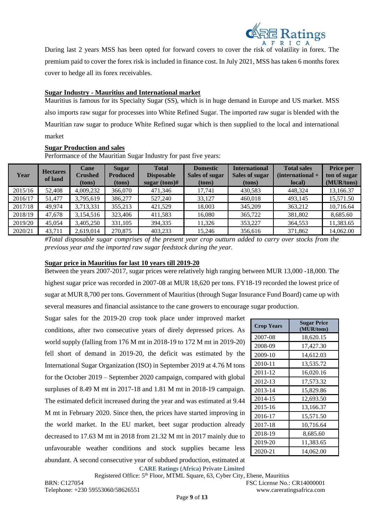

During last 2 years MSS has been opted for forward covers to cover the risk of volatility in forex. The premium paid to cover the forex risk is included in finance cost. In July 2021, MSS has taken 6 months forex cover to hedge all its forex receivables.

#### **Sugar Industry - Mauritius and International market**

Mauritius is famous for its Specialty Sugar (SS), which is in huge demand in Europe and US market. MSS also imports raw sugar for processes into White Refined Sugar. The imported raw sugar is blended with the Mauritian raw sugar to produce White Refined sugar which is then supplied to the local and international market

#### **Sugar Production and sales**

Performance of the Mauritian Sugar Industry for past five years:

| Year    | <b>Hectares</b><br>of land | Cane<br><b>Crushed</b><br>(tons) | <b>Sugar</b><br><b>Produced</b><br>(tons) | <b>Total</b><br><b>Disposable</b><br>sugar $(tons)$ # | <b>Domestic</b><br>Sales of sugar<br>(tons) | <b>International</b><br>Sales of sugar<br>(tons) | <b>Total sales</b><br>$(internal +$<br>local) | <b>Price per</b><br>ton of sugar<br>(MUR/tons) |
|---------|----------------------------|----------------------------------|-------------------------------------------|-------------------------------------------------------|---------------------------------------------|--------------------------------------------------|-----------------------------------------------|------------------------------------------------|
| 2015/16 | 52,408                     | 4,009,232                        | 366,070                                   | 471,346                                               | 17,741                                      | 430,583                                          | 448,324                                       | 13,166.37                                      |
| 2016/17 | 51,477                     | 3,795,619                        | 386,277                                   | 527,240                                               | 33.127                                      | 460.018                                          | 493.145                                       | 15,571.50                                      |
| 2017/18 | 49,974                     | 3,713,331                        | 355,213                                   | 421,529                                               | 18,003                                      | 345,209                                          | 363,212                                       | 10,716.64                                      |
| 2018/19 | 47,678                     | 3,154,516                        | 323,406                                   | 411.583                                               | 16.080                                      | 365,722                                          | 381,802                                       | 8,685.60                                       |
| 2019/20 | 45,054                     | 3,405,250                        | 331,105                                   | 394,335                                               | 11.326                                      | 353,227                                          | 364.553                                       | 11,383.65                                      |
| 2020/21 | 43,711                     | 2,619,014                        | 270,875                                   | 403,233                                               | 15.246                                      | 356,616                                          | 371,862                                       | 14.062.00                                      |

*#Total disposable sugar comprises of the present year crop outturn added to carry over stocks from the previous year and the imported raw sugar feedstock during the year.* 

#### **Sugar price in Mauritius for last 10 years till 2019-20**

Between the years 2007-2017, sugar prices were relatively high ranging between MUR 13,000 -18,000. The highest sugar price was recorded in 2007-08 at MUR 18,620 per tons. FY18-19 recorded the lowest price of sugar at MUR 8,700 per tons. Government of Mauritius (through Sugar Insurance Fund Board) came up with several measures and financial assistance to the cane growers to encourage sugar production.

Sugar sales for the 2019-20 crop took place under improved market conditions, after two consecutive years of direly depressed prices. As world supply (falling from 176 M mt in 2018-19 to 172 M mt in 2019-20) fell short of demand in 2019-20, the deficit was estimated by the International Sugar Organization (ISO) in September 2019 at 4.76 M tons for the October 2019 – September 2020 campaign, compared with global surpluses of 8.49 M mt in 2017-18 and 1.81 M mt in 2018-19 campaign. The estimated deficit increased during the year and was estimated at 9.44 M mt in February 2020. Since then, the prices have started improving in the world market. In the EU market, beet sugar production already decreased to 17.63 M mt in 2018 from 21.32 M mt in 2017 mainly due to unfavourable weather conditions and stock supplies became less abundant. A second consecutive year of subdued production, estimated at

| <b>Crop Years</b> | <b>Sugar Price</b><br>(MUR/tons) |
|-------------------|----------------------------------|
| 2007-08           | 18,620.15                        |
| 2008-09           | 17,427.30                        |
| 2009-10           | 14,612.03                        |
| 2010-11           | 13,535.72                        |
| 2011-12           | 16,020.16                        |
| 2012-13           | 17,573.32                        |
| 2013-14           | 15,829.86                        |
| 2014-15           | 12,693.50                        |
| 2015-16           | 13,166.37                        |
| 2016-17           | 15,571.50                        |
| 2017-18           | 10,716.64                        |
| 2018-19           | 8,685.60                         |
| 2019-20           | 11,383.65                        |
| 2020-21           | 14,062.00                        |

**CARE Ratings (Africa) Private Limited** Registered Office: 5<sup>th</sup> Floor, MTML Square, 63, Cyber City, Ebene, Mauritius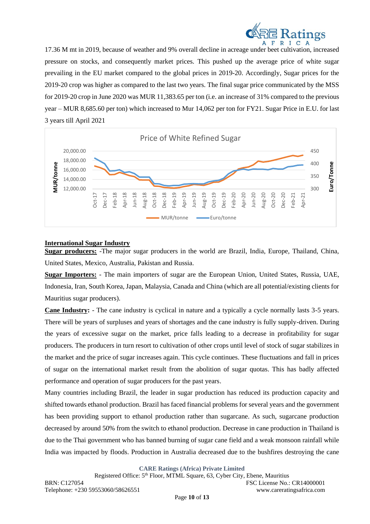

17.36 M mt in 2019, because of weather and 9% overall decline in acreage under beet cultivation, increased pressure on stocks, and consequently market prices. This pushed up the average price of white sugar prevailing in the EU market compared to the global prices in 2019-20. Accordingly, Sugar prices for the 2019-20 crop was higher as compared to the last two years. The final sugar price communicated by the MSS for 2019-20 crop in June 2020 was MUR 11,383.65 per ton (i.e. an increase of 31% compared to the previous year – MUR 8,685.60 per ton) which increased to Mur 14,062 per ton for FY21. Sugar Price in E.U. for last 3 years till April 2021



### **International Sugar Industry**

**Sugar producers:** -The major sugar producers in the world are Brazil, India, Europe, Thailand, China, United States, Mexico, Australia, Pakistan and Russia.

**Sugar Importers:** - The main importers of sugar are the European Union, United States, Russia, UAE, Indonesia, Iran, South Korea, Japan, Malaysia, Canada and China (which are all potential/existing clients for Mauritius sugar producers).

**Cane Industry:** - The cane industry is cyclical in nature and a typically a cycle normally lasts 3-5 years. There will be years of surpluses and years of shortages and the cane industry is fully supply-driven. During the years of excessive sugar on the market, price falls leading to a decrease in profitability for sugar producers. The producers in turn resort to cultivation of other crops until level of stock of sugar stabilizes in the market and the price of sugar increases again. This cycle continues. These fluctuations and fall in prices of sugar on the international market result from the abolition of sugar quotas. This has badly affected performance and operation of sugar producers for the past years.

Many countries including Brazil, the leader in sugar production has reduced its production capacity and shifted towards ethanol production. Brazil has faced financial problems for several years and the government has been providing support to ethanol production rather than sugarcane. As such, sugarcane production decreased by around 50% from the switch to ethanol production. Decrease in cane production in Thailand is due to the Thai government who has banned burning of sugar cane field and a weak monsoon rainfall while India was impacted by floods. Production in Australia decreased due to the bushfires destroying the cane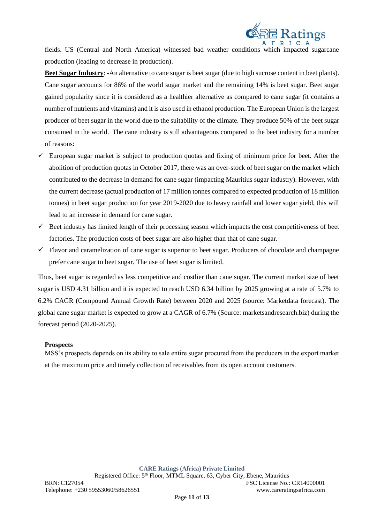

fields. US (Central and North America) witnessed bad weather conditions which impacted sugarcane production (leading to decrease in production).

**Beet Sugar Industry**: -An alternative to cane sugar is beet sugar (due to high sucrose content in beet plants). Cane sugar accounts for 86% of the world sugar market and the remaining 14% is beet sugar. Beet sugar gained popularity since it is considered as a healthier alternative as compared to cane sugar (it contains a number of nutrients and vitamins) and it is also used in ethanol production. The European Union is the largest producer of beet sugar in the world due to the suitability of the climate. They produce 50% of the beet sugar consumed in the world. The cane industry is still advantageous compared to the beet industry for a number of reasons:

- $\checkmark$  European sugar market is subject to production quotas and fixing of minimum price for beet. After the abolition of production quotas in October 2017, there was an over-stock of beet sugar on the market which contributed to the decrease in demand for cane sugar (impacting Mauritius sugar industry). However, with the current decrease (actual production of 17 million tonnes compared to expected production of 18 million tonnes) in beet sugar production for year 2019-2020 due to heavy rainfall and lower sugar yield, this will lead to an increase in demand for cane sugar.
- $\checkmark$  Beet industry has limited length of their processing season which impacts the cost competitiveness of beet factories. The production costs of beet sugar are also higher than that of cane sugar.
- $\checkmark$  Flavor and caramelization of cane sugar is superior to beet sugar. Producers of chocolate and champagne prefer cane sugar to beet sugar. The use of beet sugar is limited.

Thus, beet sugar is regarded as less competitive and costlier than cane sugar. The current market size of beet sugar is USD 4.31 billion and it is expected to reach USD 6.34 billion by 2025 growing at a rate of 5.7% to 6.2% CAGR (Compound Annual Growth Rate) between 2020 and 2025 (source: Marketdata forecast). The global cane sugar market is expected to grow at a CAGR of 6.7% (Source: marketsandresearch.biz) during the forecast period (2020-2025).

#### **Prospects**

MSS's prospects depends on its ability to sale entire sugar procured from the producers in the export market at the maximum price and timely collection of receivables from its open account customers.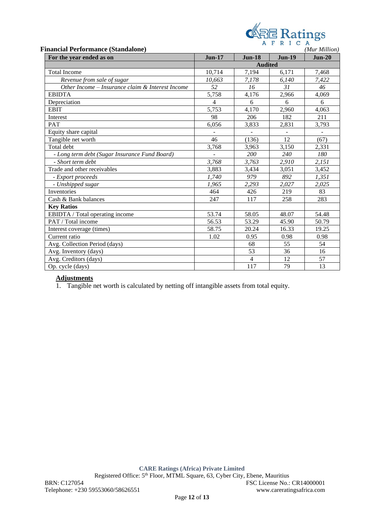|  |        |  |  | <b>ARE</b> Ratings |
|--|--------|--|--|--------------------|
|  | AFRICA |  |  |                    |

| <b>Financial Performance (Standalone)</b>        |                |                |               |          |  |
|--------------------------------------------------|----------------|----------------|---------------|----------|--|
| For the year ended as on                         | <b>Jun-17</b>  | $Jun-18$       | <b>Jun-19</b> | $Jun-20$ |  |
|                                                  |                | <b>Audited</b> |               |          |  |
| <b>Total Income</b>                              | 10,714         | 7,194          | 6,171         | 7,468    |  |
| Revenue from sale of sugar                       | 10,663         | 7,178          | 6,140         | 7,422    |  |
| Other Income - Insurance claim & Interest Income | 52             | 16             | 31            | 46       |  |
| <b>EBIDTA</b>                                    | 5,758          | 4,176          | 2,966         | 4,069    |  |
| Depreciation                                     | $\overline{4}$ | 6              | 6             | 6        |  |
| <b>EBIT</b>                                      | 5,753          | 4,170          | 2,960         | 4,063    |  |
| Interest                                         | 98             | 206            | 182           | 211      |  |
| <b>PAT</b>                                       | 6,056          | 3,833          | 2,831         | 3,793    |  |
| Equity share capital                             |                |                |               |          |  |
| Tangible net worth                               | 46             | (136)          | 12            | (67)     |  |
| Total debt                                       | 3,768          | 3,963          | 3,150         | 2,331    |  |
| - Long term debt (Sugar Insurance Fund Board)    |                | 200            | 240           | 180      |  |
| - Short term debt                                | 3,768          | 3,763          | 2,910         | 2,151    |  |
| Trade and other receivables                      | 3,883          | 3,434          | 3,051         | 3,452    |  |
| - Export proceeds                                | 1,740          | 979            | 892           | 1,351    |  |
| - Unshipped sugar                                | 1,965          | 2,293          | 2,027         | 2,025    |  |
| Inventories                                      | 464            | 426            | 219           | 83       |  |
| Cash & Bank balances                             | 247            | 117            | 258           | 283      |  |
| <b>Key Ratios</b>                                |                |                |               |          |  |
| EBIDTA / Total operating income                  | 53.74          | 58.05          | 48.07         | 54.48    |  |
| PAT / Total income                               | 56.53          | 53.29          | 45.90         | 50.79    |  |
| Interest coverage (times)                        | 58.75          | 20.24          | 16.33         | 19.25    |  |
| Current ratio                                    | 1.02           | 0.95           | 0.98          | 0.98     |  |
| Avg. Collection Period (days)                    |                | 68             | 55            | 54       |  |
| Avg. Inventory (days)                            |                | 53             | 36            | 16       |  |
| Avg. Creditors (days)                            |                | $\overline{4}$ | 12            | 57       |  |
| Op. cycle (days)                                 |                | 117            | 79            | 13       |  |

# **Adjustments**

1. Tangible net worth is calculated by netting off intangible assets from total equity.